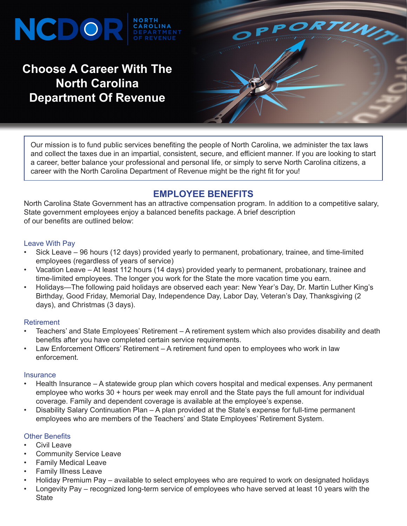# NCDO

### **Choose A Career With The North Carolina Department Of Revenue**



Our mission is to fund public services benefiting the people of North Carolina, we administer the tax laws and collect the taxes due in an impartial, consistent, secure, and efficient manner. If you are looking to start a career, better balance your professional and personal life, or simply to serve North Carolina citizens, a career with the North Carolina Department of Revenue might be the right fit for you!

### **EMPLOYEE BENEFITS**

North Carolina State Government has an attractive compensation program. In addition to a competitive salary, State government employees enjoy a balanced benefits package. A brief description of our benefits are outlined below:

#### Leave With Pay

- Sick Leave 96 hours (12 days) provided yearly to permanent, probationary, trainee, and time-limited employees (regardless of years of service)
- Vacation Leave At least 112 hours (14 days) provided yearly to permanent, probationary, trainee and time-limited employees. The longer you work for the State the more vacation time you earn.
- Holidays—The following paid holidays are observed each year: New Year's Day, Dr. Martin Luther King's Birthday, Good Friday, Memorial Day, Independence Day, Labor Day, Veteran's Day, Thanksgiving (2 days), and Christmas (3 days).

#### Retirement

- Teachers' and State Employees' Retirement A retirement system which also provides disability and death benefits after you have completed certain service requirements.
- Law Enforcement Officers' Retirement A retirement fund open to employees who work in law enforcement.

#### **Insurance**

- Health Insurance A statewide group plan which covers hospital and medical expenses. Any permanent employee who works 30 + hours per week may enroll and the State pays the full amount for individual coverage. Family and dependent coverage is available at the employee's expense.
- Disability Salary Continuation Plan A plan provided at the State's expense for full-time permanent employees who are members of the Teachers' and State Employees' Retirement System.

#### Other Benefits

- Civil Leave
- **Community Service Leave**
- Family Medical Leave
- Family Illness Leave
- Holiday Premium Pay available to select employees who are required to work on designated holidays
- Longevity Pay recognized long-term service of employees who have served at least 10 years with the State